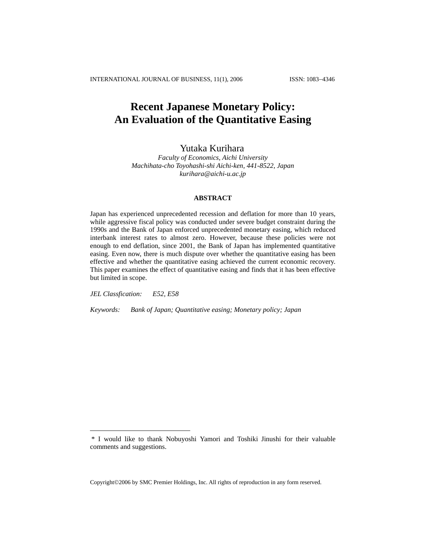# **Recent Japanese Monetary Policy: An Evaluation of the Quantitative Easing**

## Yutaka Kurihara

*Faculty of Economics, Aichi University Machihata-cho Toyohashi-shi Aichi-ken, 441-8522, Japan [kurihara@aichi-u.ac.jp](mailto:kurihara@aichi-u.ac.jp)*

## **ABSTRACT**

Japan has experienced unprecedented recession and deflation for more than 10 years, while aggressive fiscal policy was conducted under severe budget constraint during the 1990s and the Bank of Japan enforced unprecedented monetary easing, which reduced interbank interest rates to almost zero. However, because these policies were not enough to end deflation, since 2001, the Bank of Japan has implemented quantitative easing. Even now, there is much dispute over whether the quantitative easing has been effective and whether the quantitative easing achieved the current economic recovery. This paper examines the effect of quantitative easing and finds that it has been effective but limited in scope.

*JEL Classfication: E52, E58* 

 $\overline{a}$ 

*Keywords: Bank of Japan; Quantitative easing; Monetary policy; Japan* 

Copyright©2006 by SMC Premier Holdings, Inc. All rights of reproduction in any form reserved.

<sup>\*</sup> I would like to thank Nobuyoshi Yamori and Toshiki Jinushi for their valuable comments and suggestions.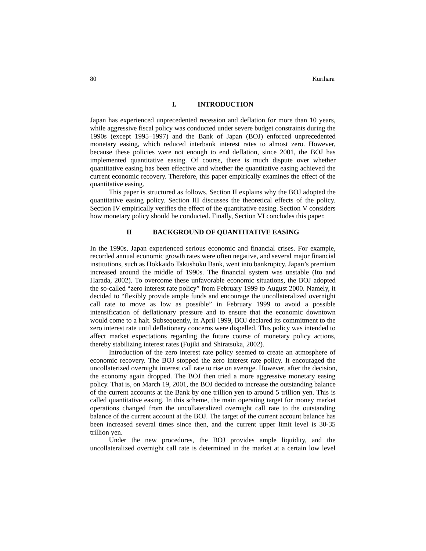## **I. INTRODUCTION**

Japan has experienced unprecedented recession and deflation for more than 10 years, while aggressive fiscal policy was conducted under severe budget constraints during the 1990s (except 1995–1997) and the Bank of Japan (BOJ) enforced unprecedented monetary easing, which reduced interbank interest rates to almost zero. However, because these policies were not enough to end deflation, since 2001, the BOJ has implemented quantitative easing. Of course, there is much dispute over whether quantitative easing has been effective and whether the quantitative easing achieved the current economic recovery. Therefore, this paper empirically examines the effect of the quantitative easing.

This paper is structured as follows. Section II explains why the BOJ adopted the quantitative easing policy. Section III discusses the theoretical effects of the policy. Section IV empirically verifies the effect of the quantitative easing. Section V considers how monetary policy should be conducted. Finally, Section VI concludes this paper.

## **II BACKGROUND OF QUANTITATIVE EASING**

In the 1990s, Japan experienced serious economic and financial crises. For example, recorded annual economic growth rates were often negative, and several major financial institutions, such as Hokkaido Takushoku Bank, went into bankruptcy. Japan's premium increased around the middle of 1990s. The financial system was unstable (Ito and Harada, 2002). To overcome these unfavorable economic situations, the BOJ adopted the so-called "zero interest rate policy" from February 1999 to August 2000. Namely, it decided to "flexibly provide ample funds and encourage the uncollateralized overnight call rate to move as low as possible" in February 1999 to avoid a possible intensification of deflationary pressure and to ensure that the economic downtown would come to a halt. Subsequently, in April 1999, BOJ declared its commitment to the zero interest rate until deflationary concerns were dispelled. This policy was intended to affect market expectations regarding the future course of monetary policy actions, thereby stabilizing interest rates (Fujiki and Shiratsuka, 2002).

Introduction of the zero interest rate policy seemed to create an atmosphere of economic recovery. The BOJ stopped the zero interest rate policy. It encouraged the uncollaterized overnight interest call rate to rise on average. However, after the decision, the economy again dropped. The BOJ then tried a more aggressive monetary easing policy. That is, on March 19, 2001, the BOJ decided to increase the outstanding balance of the current accounts at the Bank by one trillion yen to around 5 trillion yen. This is called quantitative easing. In this scheme, the main operating target for money market operations changed from the uncollateralized overnight call rate to the outstanding balance of the current account at the BOJ. The target of the current account balance has been increased several times since then, and the current upper limit level is 30-35 trillion yen.

Under the new procedures, the BOJ provides ample liquidity, and the uncollateralized overnight call rate is determined in the market at a certain low level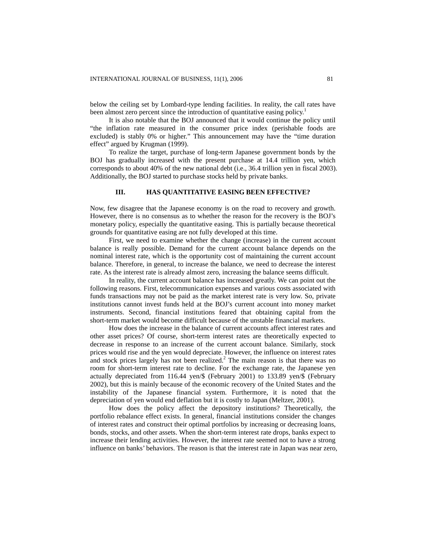below the ceiling set by Lombard-type lending facilities. In reality, the call rates have been almost zero percent since the introduction of quantitative easing policy.<sup>1</sup>

It is also notable that the BOJ announced that it would continue the policy until "the inflation rate measured in the consumer price index (perishable foods are excluded) is stably 0% or higher." This announcement may have the "time duration effect" argued by Krugman (1999).

To realize the target, purchase of long-term Japanese government bonds by the BOJ has gradually increased with the present purchase at 14.4 trillion yen, which corresponds to about 40% of the new national debt (i.e., 36.4 trillion yen in fiscal 2003). Additionally, the BOJ started to purchase stocks held by private banks.

## **III. HAS QUANTITATIVE EASING BEEN EFFECTIVE?**

Now, few disagree that the Japanese economy is on the road to recovery and growth. However, there is no consensus as to whether the reason for the recovery is the BOJ's monetary policy, especially the quantitative easing. This is partially because theoretical grounds for quantitative easing are not fully developed at this time.

First, we need to examine whether the change (increase) in the current account balance is really possible. Demand for the current account balance depends on the nominal interest rate, which is the opportunity cost of maintaining the current account balance. Therefore, in general, to increase the balance, we need to decrease the interest rate. As the interest rate is already almost zero, increasing the balance seems difficult.

In reality, the current account balance has increased greatly. We can point out the following reasons. First, telecommunication expenses and various costs associated with funds transactions may not be paid as the market interest rate is very low. So, private institutions cannot invest funds held at the BOJ's current account into money market instruments. Second, financial institutions feared that obtaining capital from the short-term market would become difficult because of the unstable financial markets.

How does the increase in the balance of current accounts affect interest rates and other asset prices? Of course, short-term interest rates are theoretically expected to decrease in response to an increase of the current account balance. Similarly, stock prices would rise and the yen would depreciate. However, the influence on interest rates and stock prices largely has not been realized.<sup>2</sup> The main reason is that there was no room for short-term interest rate to decline. For the exchange rate, the Japanese yen actually depreciated from 116.44 yen/\$ (February 2001) to 133.89 yen/\$ (February 2002), but this is mainly because of the economic recovery of the United States and the instability of the Japanese financial system. Furthermore, it is noted that the depreciation of yen would end deflation but it is costly to Japan (Meltzer, 2001).

How does the policy affect the depository institutions? Theoretically, the portfolio rebalance effect exists. In general, financial institutions consider the changes of interest rates and construct their optimal portfolios by increasing or decreasing loans, bonds, stocks, and other assets. When the short-term interest rate drops, banks expect to increase their lending activities. However, the interest rate seemed not to have a strong influence on banks' behaviors. The reason is that the interest rate in Japan was near zero,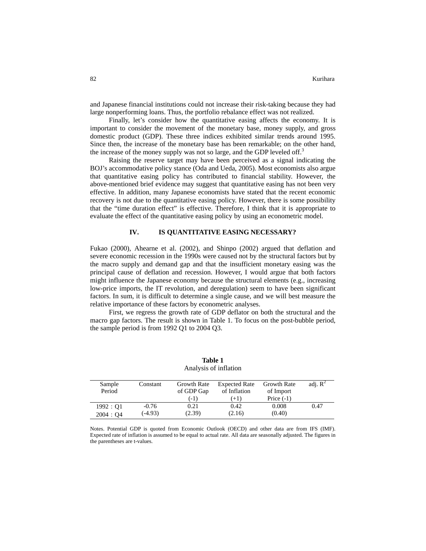and Japanese financial institutions could not increase their risk-taking because they had large nonperforming loans. Thus, the portfolio rebalance effect was not realized.

Finally, let's consider how the quantitative easing affects the economy. It is important to consider the movement of the monetary base, money supply, and gross domestic product (GDP). These three indices exhibited similar trends around 1995. Since then, the increase of the monetary base has been remarkable; on the other hand, the increase of the money supply was not so large, and the GDP leveled off. $3$ 

Raising the reserve target may have been perceived as a signal indicating the BOJ's accommodative policy stance (Oda and Ueda, 2005). Most economists also argue that quantitative easing policy has contributed to financial stability. However, the above-mentioned brief evidence may suggest that quantitative easing has not been very effective. In addition, many Japanese economists have stated that the recent economic recovery is not due to the quantitative easing policy. However, there is some possibility that the "time duration effect" is effective. Therefore, I think that it is appropriate to evaluate the effect of the quantitative easing policy by using an econometric model.

## **IV. IS QUANTITATIVE EASING NECESSARY?**

Fukao (2000), Ahearne et al. (2002), and Shinpo (2002) argued that deflation and severe economic recession in the 1990s were caused not by the structural factors but by the macro supply and demand gap and that the insufficient monetary easing was the principal cause of deflation and recession. However, I would argue that both factors might influence the Japanese economy because the structural elements (e.g., increasing low-price imports, the IT revolution, and deregulation) seem to have been significant factors. In sum, it is difficult to determine a single cause, and we will best measure the relative importance of these factors by econometric analyses.

First, we regress the growth rate of GDP deflator on both the structural and the macro gap factors. The result is shown in Table 1. To focus on the post-bubble period, the sample period is from 1992 Q1 to 2004 Q3.

| Sample    | Constant  | Growth Rate | <b>Expected Rate</b> | <b>Growth Rate</b> | adj. $\mathbb{R}^2$ |
|-----------|-----------|-------------|----------------------|--------------------|---------------------|
| Period    |           | of GDP Gap  | of Inflation         | of Import          |                     |
|           |           | $(-1)$      | $(+1)$               | Price $(-1)$       |                     |
| 1992:Q1   | $-0.76$   | 0.21        | 0.42                 | 0.008              | 0.47                |
| 2004 : Q4 | $(-4.93)$ | (2.39)      | (2.16)               | (0.40)             |                     |

**Table 1**  Analysis of inflation

Notes. Potential GDP is quoted from Economic Outlook (OECD) and other data are from IFS (IMF). Expected rate of inflation is assumed to be equal to actual rate. All data are seasonally adjusted. The figures in the parentheses are t-values.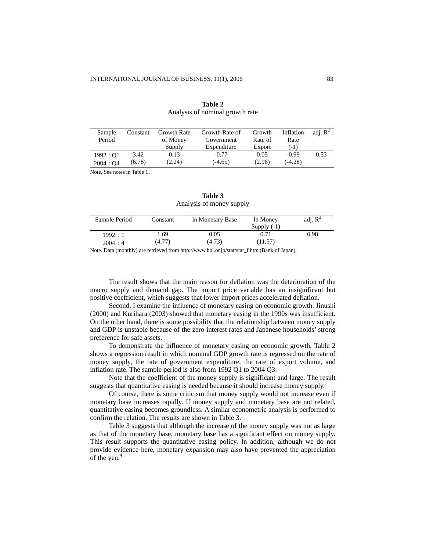| Sample    | Constant | <b>Growth Rate</b> | Growth Rate of | Growth  | Inflation | adi. $\mathbb{R}^2$ |
|-----------|----------|--------------------|----------------|---------|-----------|---------------------|
| Period    |          | of Money           | Government     | Rate of | Rate      |                     |
|           |          | Supply             | Expenditure    | Export  | $(-1)$    |                     |
| 1992 : O1 | 3.42     | 0.13               | $-0.77$        | 0.05    | $-0.99$   | 0.53                |
| 2004:04   | (6.78)   | (2.24)             | $(-4.65)$      | (2.96)  | $(-4.28)$ |                     |

## **Table 2** Analysis of nominal growth rate

Note. See notes in Table 1.

## **Table 3** Analysis of money supply

| Sample Period | Constant | In Monetary Base | In Money<br>Supply $(-1)$ | adj. $R^2$ |
|---------------|----------|------------------|---------------------------|------------|
| 1992:1        | 1.69     | 0.05             | 0.71                      | 0.98       |
| 2004:4        | (4.77)   | (4.73)           | (11.57)                   |            |

Note. Data (monthly) are retrieved from [http://www.boj.or.jp/stat/stat\\_f.htm](http://www.boj.or.jp/stat/stat_f.htm) (Bank of Japan).

The result shows that the main reason for deflation was the deterioration of the macro supply and demand gap. The import price variable has an insignificant but positive coefficient, which suggests that lower import prices accelerated deflation.

Second, I examine the influence of monetary easing on economic growth. Jinushi (2000) and Kurihara (2003) showed that monetary easing in the 1990s was insufficient. On the other hand, there is some possibility that the relationship between money supply and GDP is unstable because of the zero interest rates and Japanese households' strong preference for safe assets.

To demonstrate the influence of monetary easing on economic growth, Table 2 shows a regression result in which nominal GDP growth rate is regressed on the rate of money supply, the rate of government expenditure, the rate of export volume, and inflation rate. The sample period is also from 1992 Q1 to 2004 Q3.

Note that the coefficient of the money supply is significant and large. The result suggests that quantitative easing is needed because it should increase money supply.

Of course, there is some criticism that money supply would not increase even if monetary base increases rapidly. If money supply and monetary base are not related, quantitative easing becomes groundless. A similar econometric analysis is performed to confirm the relation. The results are shown in Table 3.

Table 3 suggests that although the increase of the money supply was not as large as that of the monetary base, monetary base has a significant effect on money supply. This result supports the quantitative easing policy. In addition, although we do not provide evidence here, monetary expansion may also have prevented the appreciation of the yen. $4$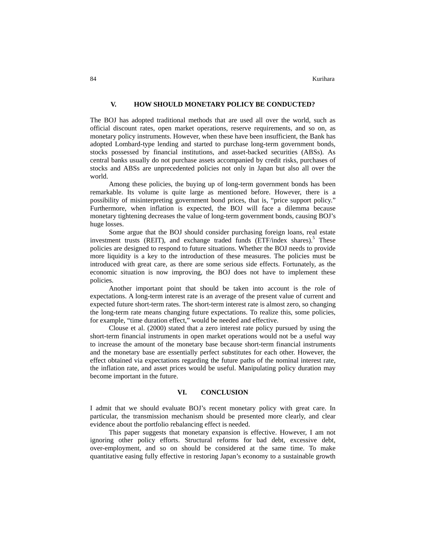## **V. HOW SHOULD MONETARY POLICY BE CONDUCTED?**

The BOJ has adopted traditional methods that are used all over the world, such as official discount rates, open market operations, reserve requirements, and so on, as monetary policy instruments. However, when these have been insufficient, the Bank has adopted Lombard-type lending and started to purchase long-term government bonds, stocks possessed by financial institutions, and asset-backed securities (ABSs). As central banks usually do not purchase assets accompanied by credit risks, purchases of stocks and ABSs are unprecedented policies not only in Japan but also all over the world.

Among these policies, the buying up of long-term government bonds has been remarkable. Its volume is quite large as mentioned before. However, there is a possibility of misinterpreting government bond prices, that is, "price support policy." Furthermore, when inflation is expected, the BOJ will face a dilemma because monetary tightening decreases the value of long-term government bonds, causing BOJ's huge losses.

Some argue that the BOJ should consider purchasing foreign loans, real estate investment trusts (REIT), and exchange traded funds (ETF/index shares).<sup>5</sup> These policies are designed to respond to future situations. Whether the BOJ needs to provide more liquidity is a key to the introduction of these measures. The policies must be introduced with great care, as there are some serious side effects. Fortunately, as the economic situation is now improving, the BOJ does not have to implement these policies.

Another important point that should be taken into account is the role of expectations. A long-term interest rate is an average of the present value of current and expected future short-term rates. The short-term interest rate is almost zero, so changing the long-term rate means changing future expectations. To realize this, some policies, for example, "time duration effect," would be needed and effective.

Clouse et al. (2000) stated that a zero interest rate policy pursued by using the short-term financial instruments in open market operations would not be a useful way to increase the amount of the monetary base because short-term financial instruments and the monetary base are essentially perfect substitutes for each other. However, the effect obtained via expectations regarding the future paths of the nominal interest rate, the inflation rate, and asset prices would be useful. Manipulating policy duration may become important in the future.

## **VI. CONCLUSION**

I admit that we should evaluate BOJ's recent monetary policy with great care. In particular, the transmission mechanism should be presented more clearly, and clear evidence about the portfolio rebalancing effect is needed.

This paper suggests that monetary expansion is effective. However, I am not ignoring other policy efforts. Structural reforms for bad debt, excessive debt, over-employment, and so on should be considered at the same time. To make quantitative easing fully effective in restoring Japan's economy to a sustainable growth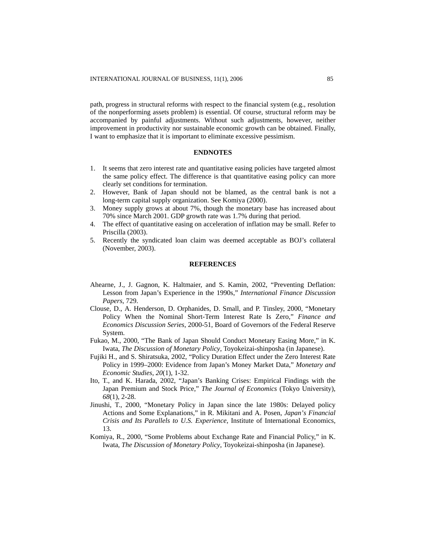path, progress in structural reforms with respect to the financial system (e.g., resolution of the nonperforming assets problem) is essential. Of course, structural reform may be accompanied by painful adjustments. Without such adjustments, however, neither improvement in productivity nor sustainable economic growth can be obtained. Finally, I want to emphasize that it is important to eliminate excessive pessimism.

## **ENDNOTES**

- 1. It seems that zero interest rate and quantitative easing policies have targeted almost the same policy effect. The difference is that quantitative easing policy can more clearly set conditions for termination.
- 2. However, Bank of Japan should not be blamed, as the central bank is not a long-term capital supply organization. See Komiya (2000).
- 3. Money supply grows at about 7%, though the monetary base has increased about 70% since March 2001. GDP growth rate was 1.7% during that period.
- 4. The effect of quantitative easing on acceleration of inflation may be small. Refer to Priscilla (2003).
- 5. Recently the syndicated loan claim was deemed acceptable as BOJ's collateral (November, 2003).

## **REFERENCES**

- Ahearne, J., J. Gagnon, K. Haltmaier, and S. Kamin, 2002, "Preventing Deflation: Lesson from Japan's Experience in the 1990s," *International Finance Discussion Papers*, 729.
- Clouse, D., A. Henderson, D. Orphanides, D. Small, and P. Tinsley, 2000, "Monetary Policy When the Nominal Short-Term Interest Rate Is Zero," *Finance and Economics Discussion Series*, 2000-51, Board of Governors of the Federal Reserve System.
- Fukao, M., 2000, "The Bank of Japan Should Conduct Monetary Easing More," in K. Iwata, *The Discussion of Monetary Policy*, Toyokeizai-shinposha (in Japanese).
- Fujiki H., and S. Shiratsuka, 2002, "Policy Duration Effect under the Zero Interest Rate Policy in 1999–2000: Evidence from Japan's Money Market Data," *Monetary and Economic Studies*, *20*(1), 1-32.
- Ito, T., and K. Harada, 2002, "Japan's Banking Crises: Empirical Findings with the Japan Premium and Stock Price," *The Journal of Economics* (Tokyo University), *68*(1), 2-28.
- Jinushi, T., 2000, "Monetary Policy in Japan since the late 1980s: Delayed policy Actions and Some Explanations," in R. Mikitani and A. Posen, *Japan's Financial Crisis and Its Parallels to U.S. Experience*, Institute of International Economics, 13.
- Komiya, R., 2000, "Some Problems about Exchange Rate and Financial Policy," in K. Iwata, *The Discussion of Monetary Policy*, Toyokeizai-shinposha (in Japanese).